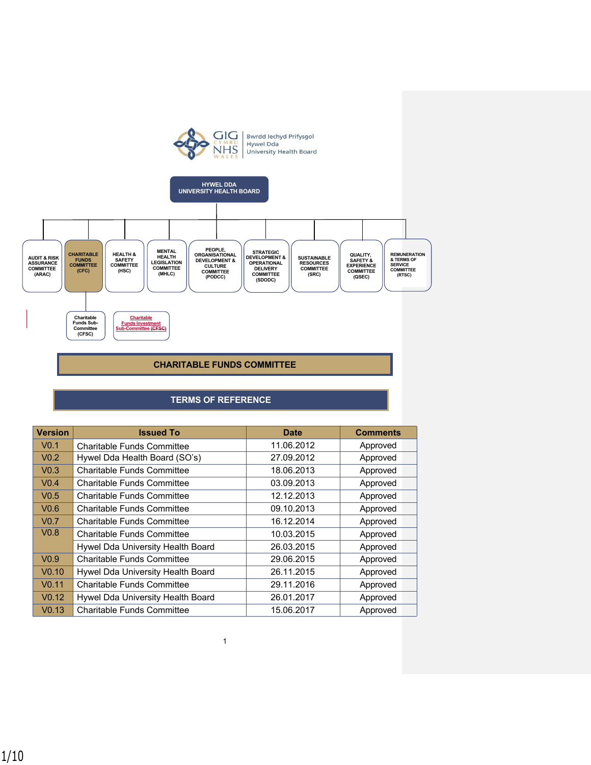



# **CHARITABLE FUNDS COMMITTEE**

# **TERMS OF REFERENCE**

| <b>Version</b>    | <b>Issued To</b>                  | <b>Date</b> | <b>Comments</b> |
|-------------------|-----------------------------------|-------------|-----------------|
| V <sub>0.1</sub>  | Charitable Funds Committee        | 11.06.2012  | Approved        |
| V <sub>0.2</sub>  | Hywel Dda Health Board (SO's)     | 27.09.2012  | Approved        |
| V <sub>0.3</sub>  | Charitable Funds Committee        | 18.06.2013  | Approved        |
| V <sub>0.4</sub>  | <b>Charitable Funds Committee</b> | 03.09.2013  | Approved        |
| V <sub>0.5</sub>  | Charitable Funds Committee        | 12.12.2013  | Approved        |
| V <sub>0.6</sub>  | <b>Charitable Funds Committee</b> | 09.10.2013  | Approved        |
| V <sub>0.7</sub>  | Charitable Funds Committee        | 16.12.2014  | Approved        |
| V <sub>0.8</sub>  | <b>Charitable Funds Committee</b> | 10.03.2015  | Approved        |
|                   | Hywel Dda University Health Board | 26.03.2015  | Approved        |
| V <sub>0.9</sub>  | <b>Charitable Funds Committee</b> | 29.06.2015  | Approved        |
| V <sub>0.10</sub> | Hywel Dda University Health Board | 26.11.2015  | Approved        |
| V <sub>0.11</sub> | <b>Charitable Funds Committee</b> | 29.11.2016  | Approved        |
| V <sub>0.12</sub> | Hywel Dda University Health Board | 26.01.2017  | Approved        |
| V <sub>0.13</sub> | <b>Charitable Funds Committee</b> | 15.06.2017  | Approved        |

1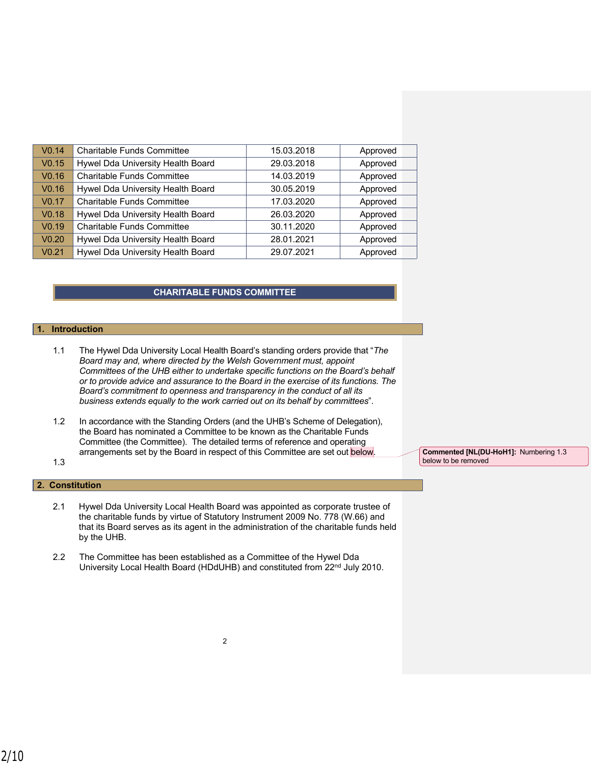| V <sub>0.14</sub> | Charitable Funds Committee        | 15.03.2018 | Approved |
|-------------------|-----------------------------------|------------|----------|
| V <sub>0.15</sub> | Hywel Dda University Health Board | 29.03.2018 | Approved |
| V <sub>0.16</sub> | Charitable Funds Committee        | 14.03.2019 | Approved |
| V <sub>0.16</sub> | Hywel Dda University Health Board | 30.05.2019 | Approved |
| V <sub>0.17</sub> | Charitable Funds Committee        | 17.03.2020 | Approved |
| V <sub>0.18</sub> | Hywel Dda University Health Board | 26.03.2020 | Approved |
| V <sub>0.19</sub> | Charitable Funds Committee        | 30.11.2020 | Approved |
| V <sub>0.20</sub> | Hywel Dda University Health Board | 28.01.2021 | Approved |
| V <sub>0.21</sub> | Hywel Dda University Health Board | 29.07.2021 | Approved |
|                   |                                   |            |          |

# **CHARITABLE FUNDS COMMITTEE**

### **1. Introduction**

- 1.1 The Hywel Dda University Local Health Board's standing orders provide that "*The Board may and, where directed by the Welsh Government must, appoint Committees of the UHB either to undertake specific functions on the Board's behalf or to provide advice and assurance to the Board in the exercise of its functions. The Board's commitment to openness and transparency in the conduct of all its business extends equally to the work carried out on its behalf by committees*".
- 1.2 In accordance with the Standing Orders (and the UHB's Scheme of Delegation), the Board has nominated a Committee to be known as the Charitable Funds Committee (the Committee). The detailed terms of reference and operating arrangements set by the Board in respect of this Committee are set out below.
- 1.3

# **2. Constitution**

- 2.1 Hywel Dda University Local Health Board was appointed as corporate trustee of the charitable funds by virtue of Statutory Instrument 2009 No. 778 (W.66) and that its Board serves as its agent in the administration of the charitable funds held by the UHB.
- 2.2 The Committee has been established as a Committee of the Hywel Dda University Local Health Board (HDdUHB) and constituted from 22<sup>nd</sup> July 2010.

**Commented [NL(DU-HoH1]:** Numbering 1.3 below to be removed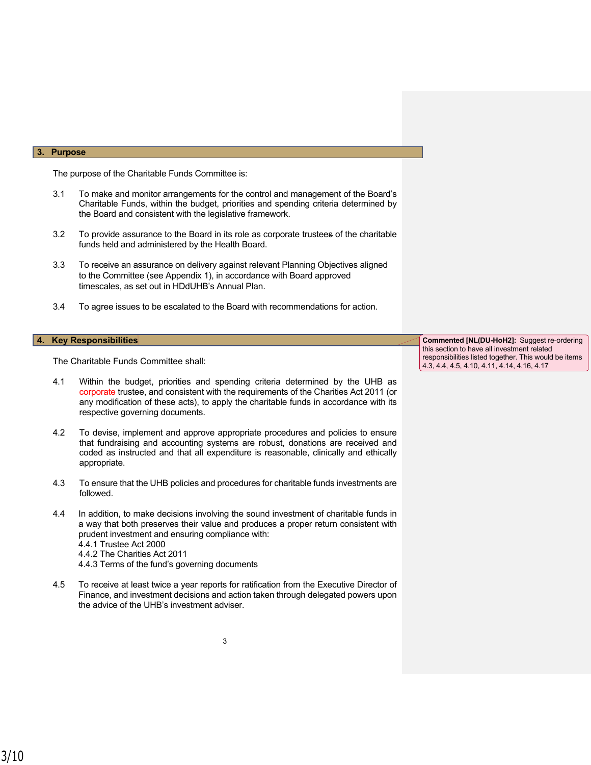#### **3. Purpose**

The purpose of the Charitable Funds Committee is:

- 3.1 To make and monitor arrangements for the control and management of the Board's Charitable Funds, within the budget, priorities and spending criteria determined by the Board and consistent with the legislative framework.
- 3.2 To provide assurance to the Board in its role as corporate trustees of the charitable funds held and administered by the Health Board.
- 3.3 To receive an assurance on delivery against relevant Planning Objectives aligned to the Committee (see Appendix 1), in accordance with Board approved timescales, as set out in HDdUHB's Annual Plan.
- 3.4 To agree issues to be escalated to the Board with recommendations for action.

The Charitable Funds Committee shall:

- 4.1 Within the budget, priorities and spending criteria determined by the UHB as corporate trustee, and consistent with the requirements of the Charities Act 2011 (or any modification of these acts), to apply the charitable funds in accordance with its respective governing documents.
- 4.2 To devise, implement and approve appropriate procedures and policies to ensure that fundraising and accounting systems are robust, donations are received and coded as instructed and that all expenditure is reasonable, clinically and ethically appropriate.
- 4.3 To ensure that the UHB policies and procedures for charitable funds investments are followed.
- 4.4 In addition, to make decisions involving the sound investment of charitable funds in a way that both preserves their value and produces a proper return consistent with prudent investment and ensuring compliance with: 4.4.1 Trustee Act 2000 4.4.2 The Charities Act 2011 4.4.3 Terms of the fund's governing documents
- 4.5 To receive at least twice a year reports for ratification from the Executive Director of Finance, and investment decisions and action taken through delegated powers upon the advice of the UHB's investment adviser.

**4. Key Responsibilities Commented [NL(DU-HoH2]:** Suggest re-ordering this section to have all investment related responsibilities listed together. This would be items 4.3, 4.4, 4.5, 4.10, 4.11, 4.14, 4.16, 4.17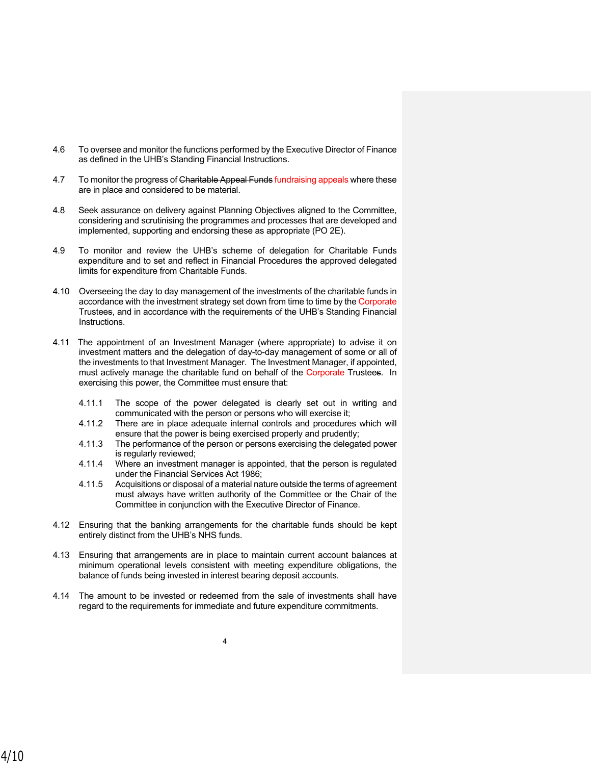- 4.6 To oversee and monitor the functions performed by the Executive Director of Finance as defined in the UHB's Standing Financial Instructions.
- 4.7 To monitor the progress of Charitable Appeal Funds fundraising appeals where these are in place and considered to be material.
- 4.8 Seek assurance on delivery against Planning Objectives aligned to the Committee, considering and scrutinising the programmes and processes that are developed and implemented, supporting and endorsing these as appropriate (PO 2E).
- 4.9 To monitor and review the UHB's scheme of delegation for Charitable Funds expenditure and to set and reflect in Financial Procedures the approved delegated limits for expenditure from Charitable Funds.
- 4.10 Overseeing the day to day management of the investments of the charitable funds in accordance with the investment strategy set down from time to time by the Corporate Trustees, and in accordance with the requirements of the UHB's Standing Financial Instructions.
- 4.11 The appointment of an Investment Manager (where appropriate) to advise it on investment matters and the delegation of day-to-day management of some or all of the investments to that Investment Manager. The Investment Manager, if appointed, must actively manage the charitable fund on behalf of the Corporate Trustees. In exercising this power, the Committee must ensure that:
	- 4.11.1 The scope of the power delegated is clearly set out in writing and communicated with the person or persons who will exercise it;
	- 4.11.2 There are in place adequate internal controls and procedures which will ensure that the power is being exercised properly and prudently;
	- 4.11.3 The performance of the person or persons exercising the delegated power is regularly reviewed;
	- 4.11.4 Where an investment manager is appointed, that the person is regulated under the Financial Services Act 1986;
	- 4.11.5 Acquisitions or disposal of a material nature outside the terms of agreement must always have written authority of the Committee or the Chair of the Committee in conjunction with the Executive Director of Finance.
- 4.12 Ensuring that the banking arrangements for the charitable funds should be kept entirely distinct from the UHB's NHS funds.
- 4.13 Ensuring that arrangements are in place to maintain current account balances at minimum operational levels consistent with meeting expenditure obligations, the balance of funds being invested in interest bearing deposit accounts.
- 4.14 The amount to be invested or redeemed from the sale of investments shall have regard to the requirements for immediate and future expenditure commitments.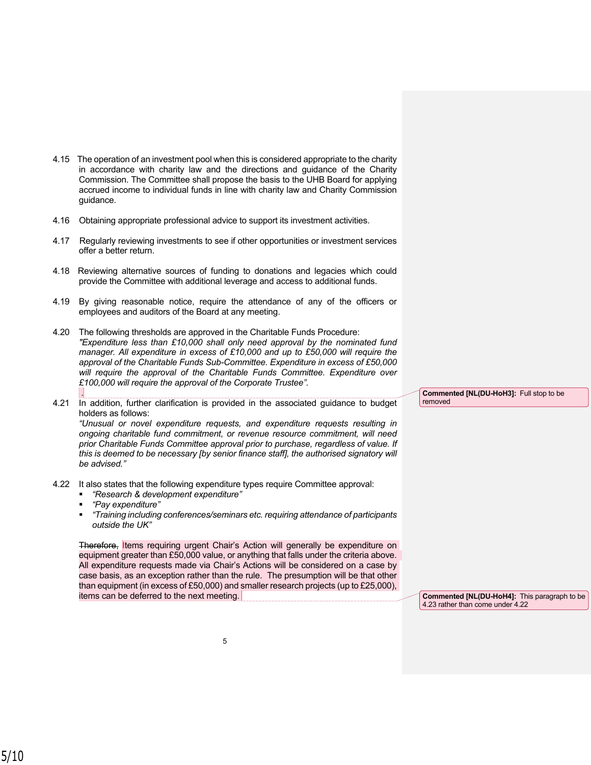- 4.15 The operation of an investment pool when this is considered appropriate to the charity in accordance with charity law and the directions and guidance of the Charity Commission. The Committee shall propose the basis to the UHB Board for applying accrued income to individual funds in line with charity law and Charity Commission guidance.
- 4.16 Obtaining appropriate professional advice to support its investment activities.
- 4.17 Regularly reviewing investments to see if other opportunities or investment services offer a better return.
- 4.18 Reviewing alternative sources of funding to donations and legacies which could provide the Committee with additional leverage and access to additional funds.
- 4.19 By giving reasonable notice, require the attendance of any of the officers or employees and auditors of the Board at any meeting.
- 4.20 The following thresholds are approved in the Charitable Funds Procedure: *"Expenditure less than £10,000 shall only need approval by the nominated fund manager. All expenditure in excess of £10,000 and up to £50,000 will require the approval of the Charitable Funds Sub-Committee. Expenditure in excess of £50,000 will require the approval of the Charitable Funds Committee. Expenditure over £100,000 will require the approval of the Corporate Trustee". .*
- 4.21 In addition, further clarification is provided in the associated guidance to budget holders as follows:

*"Unusual or novel expenditure requests, and expenditure requests resulting in ongoing charitable fund commitment, or revenue resource commitment, will need prior Charitable Funds Committee approval prior to purchase, regardless of value. If this is deemed to be necessary [by senior finance staff], the authorised signatory will be advised."*

- 4.22 It also states that the following expenditure types require Committee approval:
	- *"Research & development expenditure"*
	- *"Pay expenditure"*
	- *"Training including conferences/seminars etc. requiring attendance of participants outside the UK"*

Therefore, Items requiring urgent Chair's Action will generally be expenditure on equipment greater than £50,000 value, or anything that falls under the criteria above. All expenditure requests made via Chair's Actions will be considered on a case by case basis, as an exception rather than the rule. The presumption will be that other than equipment (in excess of £50,000) and smaller research projects (up to £25,000), items can be deferred to the next meeting.

**Commented [NL(DU-HoH3]:** Full stop to be removed

**Commented [NL(DU-HoH4]:** This paragraph to be 4.23 rather than come under 4.22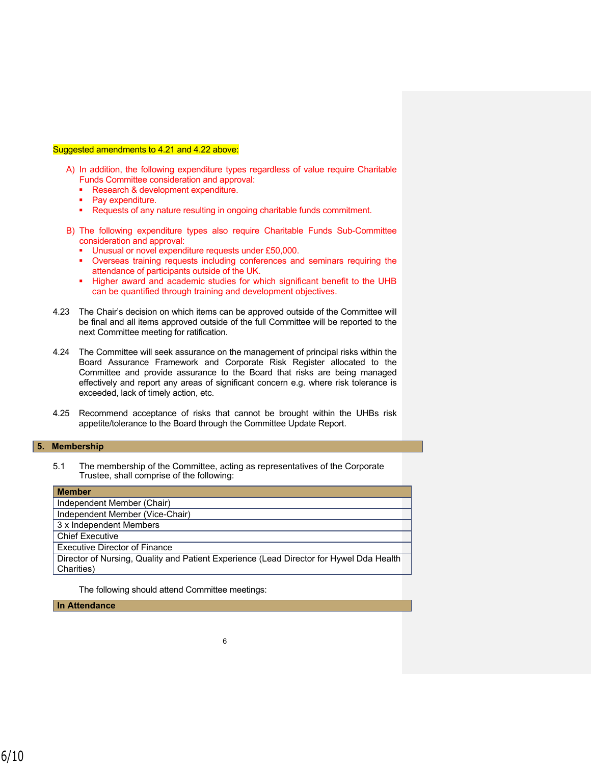### Suggested amendments to 4.21 and 4.22 above:

- A) In addition, the following expenditure types regardless of value require Charitable Funds Committee consideration and approval:
	- **Research & development expenditure.**
	- Pay expenditure.
	- Requests of any nature resulting in ongoing charitable funds commitment.
- B) The following expenditure types also require Charitable Funds Sub-Committee consideration and approval:
	- **■** Unusual or novel expenditure requests under £50,000.
	- **•** Overseas training requests including conferences and seminars requiring the attendance of participants outside of the UK.
	- **.** Higher award and academic studies for which significant benefit to the UHB can be quantified through training and development objectives.
- 4.23 The Chair's decision on which items can be approved outside of the Committee will be final and all items approved outside of the full Committee will be reported to the next Committee meeting for ratification.
- 4.24 The Committee will seek assurance on the management of principal risks within the Board Assurance Framework and Corporate Risk Register allocated to the Committee and provide assurance to the Board that risks are being managed effectively and report any areas of significant concern e.g. where risk tolerance is exceeded, lack of timely action, etc.
- 4.25 Recommend acceptance of risks that cannot be brought within the UHBs risk appetite/tolerance to the Board through the Committee Update Report.

# **5. Membership**

5.1 The membership of the Committee, acting as representatives of the Corporate Trustee, shall comprise of the following:

| <b>Member</b>                                                                           |  |  |
|-----------------------------------------------------------------------------------------|--|--|
| Independent Member (Chair)                                                              |  |  |
| Independent Member (Vice-Chair)                                                         |  |  |
| 3 x Independent Members                                                                 |  |  |
| <b>Chief Executive</b>                                                                  |  |  |
| <b>Executive Director of Finance</b>                                                    |  |  |
| Director of Nursing, Quality and Patient Experience (Lead Director for Hywel Dda Health |  |  |
| Charities)                                                                              |  |  |
|                                                                                         |  |  |

The following should attend Committee meetings:

**In Attendance**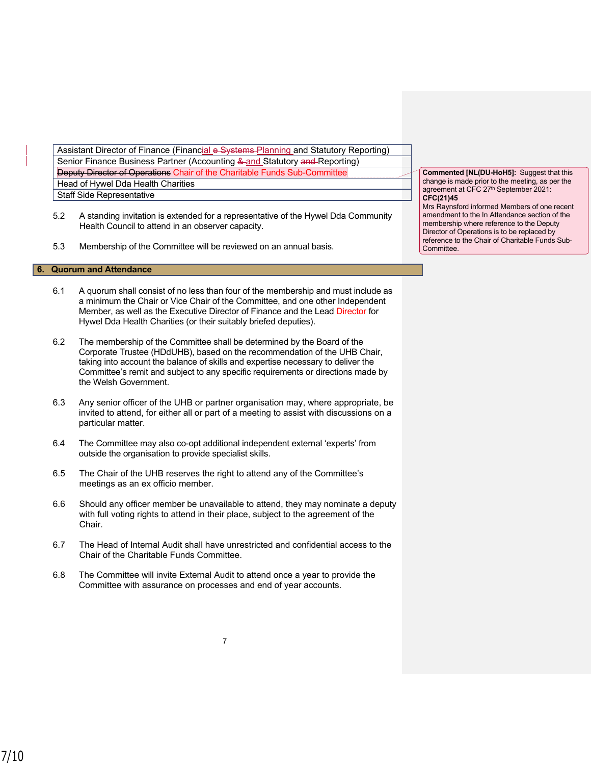Assistant Director of Finance (Financial e-Systems-Planning and Statutory Reporting) Senior Finance Business Partner (Accounting & and Statutory and Reporting) Deputy Director of Operations Chair of the Charitable Funds Sub-Committee Head of Hywel Dda Health Charities Staff Side Representative

- 5.2 A standing invitation is extended for a representative of the Hywel Dda Community Health Council to attend in an observer capacity.
- 5.3 Membership of the Committee will be reviewed on an annual basis.

### **6. Quorum and Attendance**

- 6.1 A quorum shall consist of no less than four of the membership and must include as a minimum the Chair or Vice Chair of the Committee, and one other Independent Member, as well as the Executive Director of Finance and the Lead Director for Hywel Dda Health Charities (or their suitably briefed deputies).
- 6.2 The membership of the Committee shall be determined by the Board of the Corporate Trustee (HDdUHB), based on the recommendation of the UHB Chair, taking into account the balance of skills and expertise necessary to deliver the Committee's remit and subject to any specific requirements or directions made by the Welsh Government.
- 6.3 Any senior officer of the UHB or partner organisation may, where appropriate, be invited to attend, for either all or part of a meeting to assist with discussions on a particular matter.
- 6.4 The Committee may also co-opt additional independent external 'experts' from outside the organisation to provide specialist skills.
- 6.5 The Chair of the UHB reserves the right to attend any of the Committee's meetings as an ex officio member.
- 6.6 Should any officer member be unavailable to attend, they may nominate a deputy with full voting rights to attend in their place, subject to the agreement of the Chair.
- 6.7 The Head of Internal Audit shall have unrestricted and confidential access to the Chair of the Charitable Funds Committee.

7

6.8 The Committee will invite External Audit to attend once a year to provide the Committee with assurance on processes and end of year accounts.

**Commented [NL(DU-HoH5]:** Suggest that this change is made prior to the meeting, as per the agreement at CFC 27<sup>th</sup> September 2021: **CFC(21)45**

Mrs Raynsford informed Members of one recent amendment to the In Attendance section of the membership where reference to the Deputy Director of Operations is to be replaced by reference to the Chair of Charitable Funds Sub-**Committee.**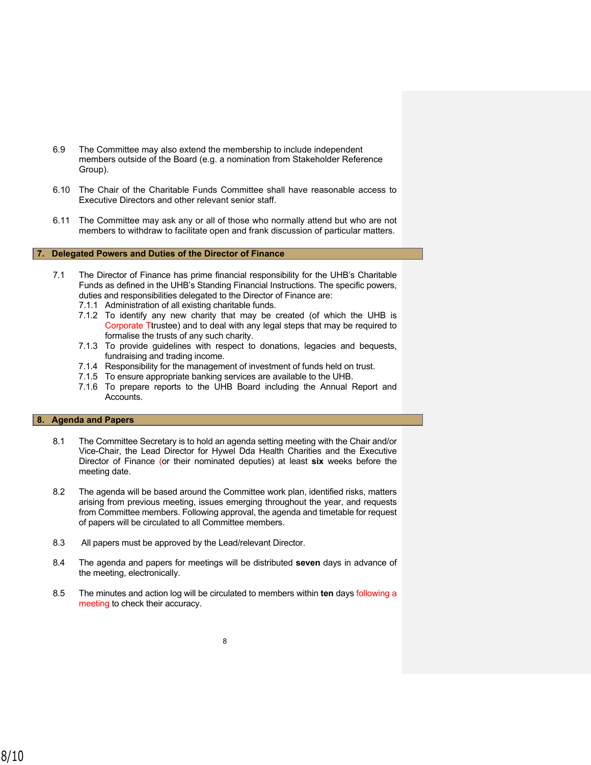- 6.9 The Committee may also extend the membership to include independent members outside of the Board (e.g. a nomination from Stakeholder Reference Group).
- 6.10 The Chair of the Charitable Funds Committee shall have reasonable access to Executive Directors and other relevant senior staff.
- 6.11 The Committee may ask any or all of those who normally attend but who are not members to withdraw to facilitate open and frank discussion of particular matters.

#### **7. Delegated Powers and Duties of the Director of Finance**

- 7.1 The Director of Finance has prime financial responsibility for the UHB's Charitable Funds as defined in the UHB's Standing Financial Instructions. The specific powers, duties and responsibilities delegated to the Director of Finance are:
	- 7.1.1 Administration of all existing charitable funds.
	- 7.1.2 To identify any new charity that may be created (of which the UHB is Corporate Ttrustee) and to deal with any legal steps that may be required to formalise the trusts of any such charity.
	- 7.1.3 To provide guidelines with respect to donations, legacies and bequests, fundraising and trading income.
	- 7.1.4 Responsibility for the management of investment of funds held on trust.
	- 7.1.5 To ensure appropriate banking services are available to the UHB.
	- 7.1.6 To prepare reports to the UHB Board including the Annual Report and Accounts.

## **8. Agenda and Papers**

- 8.1 The Committee Secretary is to hold an agenda setting meeting with the Chair and/or Vice-Chair, the Lead Director for Hywel Dda Health Charities and the Executive Director of Finance (or their nominated deputies) at least **six** weeks before the meeting date.
- 8.2 The agenda will be based around the Committee work plan, identified risks, matters arising from previous meeting, issues emerging throughout the year, and requests from Committee members. Following approval, the agenda and timetable for request of papers will be circulated to all Committee members.
- 8.3 All papers must be approved by the Lead/relevant Director.
- 8.4 The agenda and papers for meetings will be distributed **seven** days in advance of the meeting, electronically.
- 8.5 The minutes and action log will be circulated to members within **ten** days following a meeting to check their accuracy.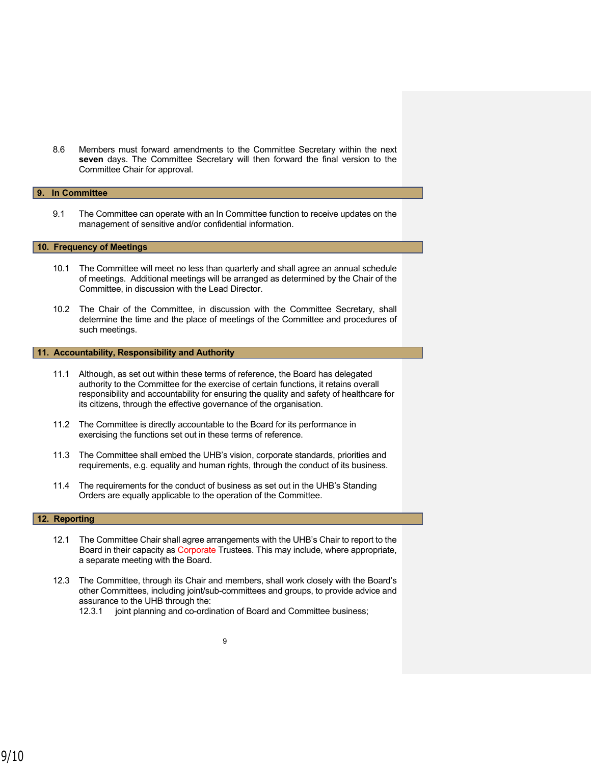8.6 Members must forward amendments to the Committee Secretary within the next **seven** days. The Committee Secretary will then forward the final version to the Committee Chair for approval.

# **9. In Committee**

9.1 The Committee can operate with an In Committee function to receive updates on the management of sensitive and/or confidential information.

## **10. Frequency of Meetings**

- 10.1 The Committee will meet no less than quarterly and shall agree an annual schedule of meetings. Additional meetings will be arranged as determined by the Chair of the Committee, in discussion with the Lead Director.
- 10.2 The Chair of the Committee, in discussion with the Committee Secretary, shall determine the time and the place of meetings of the Committee and procedures of such meetings.

# **11. Accountability, Responsibility and Authority**

- 11.1 Although, as set out within these terms of reference, the Board has delegated authority to the Committee for the exercise of certain functions, it retains overall responsibility and accountability for ensuring the quality and safety of healthcare for its citizens, through the effective governance of the organisation.
- 11.2 The Committee is directly accountable to the Board for its performance in exercising the functions set out in these terms of reference.
- 11.3 The Committee shall embed the UHB's vision, corporate standards, priorities and requirements, e.g. equality and human rights, through the conduct of its business.
- 11.4 The requirements for the conduct of business as set out in the UHB's Standing Orders are equally applicable to the operation of the Committee.

#### **12. Reporting**

- 12.1 The Committee Chair shall agree arrangements with the UHB's Chair to report to the Board in their capacity as Corporate Trustees. This may include, where appropriate, a separate meeting with the Board.
- 12.3 The Committee, through its Chair and members, shall work closely with the Board's other Committees, including joint/sub-committees and groups, to provide advice and assurance to the UHB through the:
	- 12.3.1 joint planning and co-ordination of Board and Committee business;